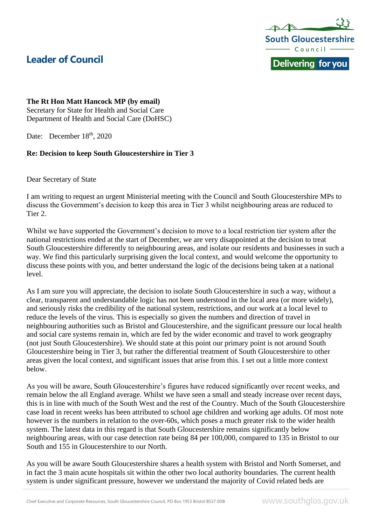



## **The Rt Hon Matt Hancock MP (by email)**

Secretary for State for Health and Social Care Department of Health and Social Care (DoHSC)

Date: December 18<sup>th</sup>, 2020

## **Re: Decision to keep South Gloucestershire in Tier 3**

Dear Secretary of State

I am writing to request an urgent Ministerial meeting with the Council and South Gloucestershire MPs to discuss the Government's decision to keep this area in Tier 3 whilst neighbouring areas are reduced to Tier 2.

Whilst we have supported the Government's decision to move to a local restriction tier system after the national restrictions ended at the start of December, we are very disappointed at the decision to treat South Gloucestershire differently to neighbouring areas, and isolate our residents and businesses in such a way. We find this particularly surprising given the local context, and would welcome the opportunity to discuss these points with you, and better understand the logic of the decisions being taken at a national level.

As I am sure you will appreciate, the decision to isolate South Gloucestershire in such a way, without a clear, transparent and understandable logic has not been understood in the local area (or more widely), and seriously risks the credibility of the national system, restrictions, and our work at a local level to reduce the levels of the virus. This is especially so given the numbers and direction of travel in neighbouring authorities such as Bristol and Gloucestershire, and the significant pressure our local health and social care systems remain in, which are fed by the wider economic and travel to work geography (not just South Gloucestershire). We should state at this point our primary point is not around South Gloucestershire being in Tier 3, but rather the differential treatment of South Gloucestershire to other areas given the local context, and significant issues that arise from this. I set out a little more context below.

As you will be aware, South Gloucestershire's figures have reduced significantly over recent weeks, and remain below the all England average. Whilst we have seen a small and steady increase over recent days, this is in line with much of the South West and the rest of the Country. Much of the South Gloucestershire case load in recent weeks has been attributed to school age children and working age adults. Of most note however is the numbers in relation to the over-60s, which poses a much greater risk to the wider health system. The latest data in this regard is that South Gloucestershire remains significantly below neighbouring areas, with our case detection rate being 84 per 100,000, compared to 135 in Bristol to our South and 155 in Gloucestershire to our North.

As you will be aware South Gloucestershire shares a health system with Bristol and North Somerset, and in fact the 3 main acute hospitals sit within the other two local authority boundaries. The current health system is under significant pressure, however we understand the majority of Covid related beds are